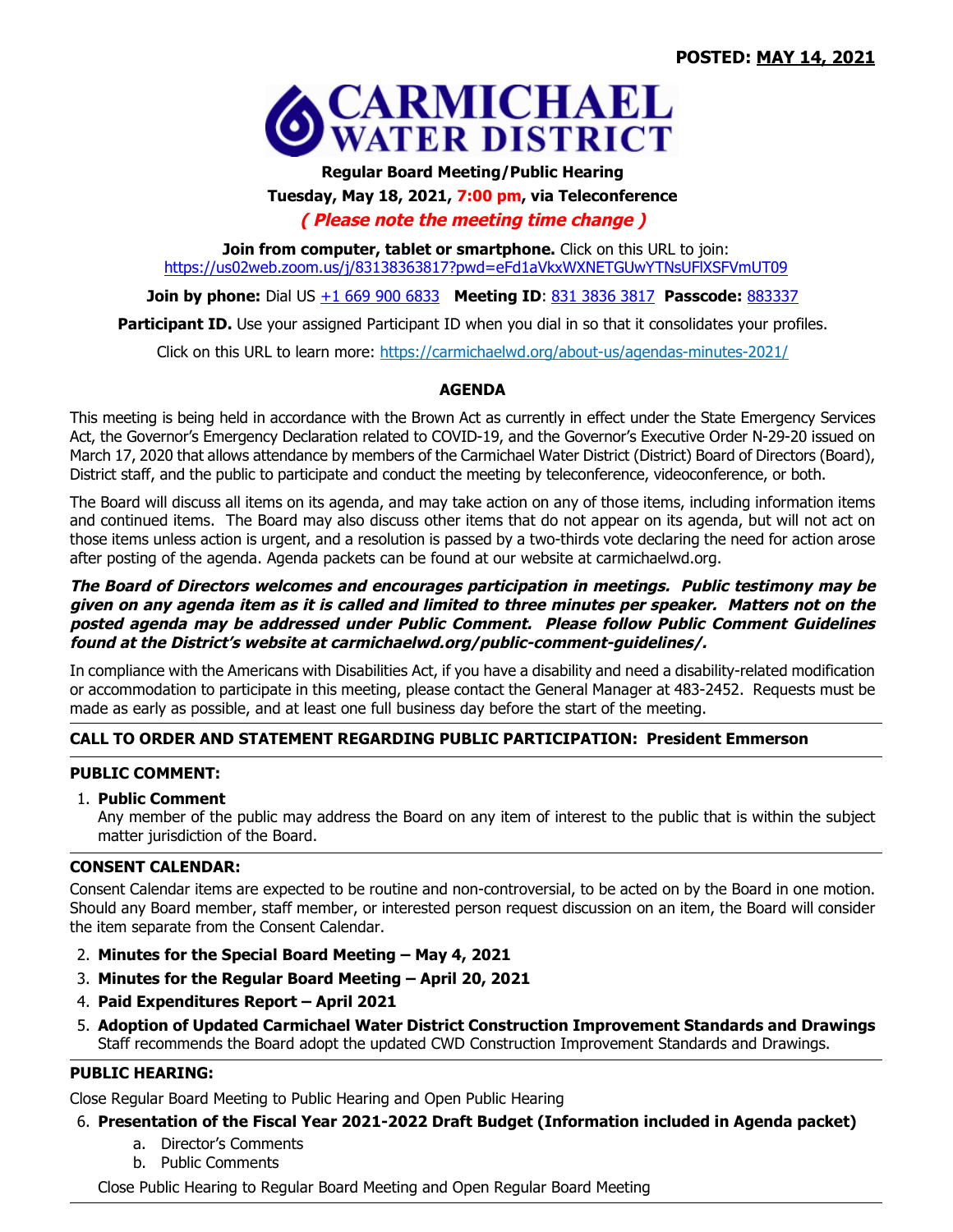

# **Regular Board Meeting/Public Hearing Tuesday, May 18, 2021, 7:00 pm, via Teleconference**

# **( Please note the meeting time change )**

**Join from computer, tablet or smartphone.** Click on this URL to join: https://us02web.zoom.us/j/83138363817?pwd=eFd1aVkxWXNETGUwYTNsUFlXSFVmUT09

**Join by phone:** Dial US  $\pm 1$  669 900 6833 **Meeting ID**: 831 3836 3817 **Passcode:** 883337

**Participant ID.** Use your assigned Participant ID when you dial in so that it consolidates your profiles.

Click on this URL to learn more: https://carmichaelwd.org/about-us/agendas-minutes-2021/

# **AGENDA**

This meeting is being held in accordance with the Brown Act as currently in effect under the State Emergency Services Act, the Governor's Emergency Declaration related to COVID-19, and the Governor's Executive Order N-29-20 issued on March 17, 2020 that allows attendance by members of the Carmichael Water District (District) Board of Directors (Board), District staff, and the public to participate and conduct the meeting by teleconference, videoconference, or both.

The Board will discuss all items on its agenda, and may take action on any of those items, including information items and continued items. The Board may also discuss other items that do not appear on its agenda, but will not act on those items unless action is urgent, and a resolution is passed by a two-thirds vote declaring the need for action arose after posting of the agenda. Agenda packets can be found at our website at carmichaelwd.org.

#### The Board of Directors welcomes and encourages participation in meetings. Public testimony may be given on any agenda item as it is called and limited to three minutes per speaker. Matters not on the posted agenda may be addressed under Public Comment. Please follow Public Comment Guidelines **found at the District's website at carmichaelwd.org/public-comment-guidelines/.**

In compliance with the Americans with Disabilities Act, if you have a disability and need a disability-related modification or accommodation to participate in this meeting, please contact the General Manager at 483-2452. Requests must be made as early as possible, and at least one full business day before the start of the meeting.

# **CALL TO ORDER AND STATEMENT REGARDING PUBLIC PARTICIPATION: President Emmerson**

# **PUBLIC COMMENT:**

## 1. **Public Comment**

Any member of the public may address the Board on any item of interest to the public that is within the subject matter jurisdiction of the Board.

## **CONSENT CALENDAR:**

Consent Calendar items are expected to be routine and non-controversial, to be acted on by the Board in one motion. Should any Board member, staff member, or interested person request discussion on an item, the Board will consider the item separate from the Consent Calendar.

- 2. **Minutes for the Special Board Meeting May 4, 2021**
- 3. **Minutes for the Regular Board Meeting April 20, 2021**
- 4. **Paid Expenditures Report April 2021**
- 5. **Adoption of Updated Carmichael Water District Construction Improvement Standards and Drawings** Staff recommends the Board adopt the updated CWD Construction Improvement Standards and Drawings.

# **PUBLIC HEARING:**

Close Regular Board Meeting to Public Hearing and Open Public Hearing

# 6. **Presentation of the Fiscal Year 2021-2022 Draft Budget (Information included in Agenda packet)**

- a. Director's Comments
- b. Public Comments

Close Public Hearing to Regular Board Meeting and Open Regular Board Meeting